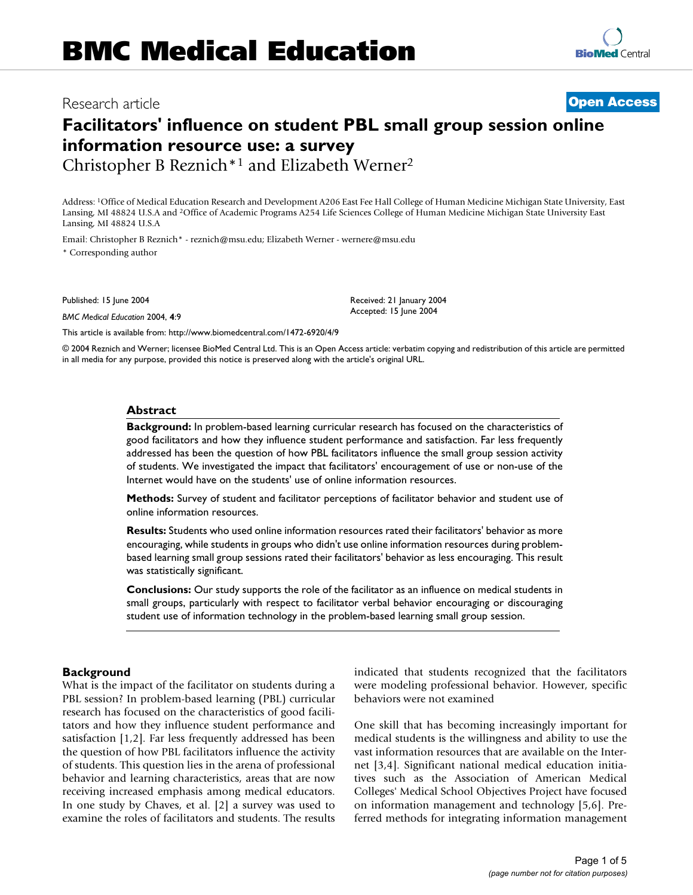## Research article **[Open Access](http://www.biomedcentral.com/info/about/charter/)**

# **Facilitators' influence on student PBL small group session online information resource use: a survey** Christopher B Reznich\*1 and Elizabeth Werner2

Address: 1Office of Medical Education Research and Development A206 East Fee Hall College of Human Medicine Michigan State University, East Lansing, MI 48824 U.S.A and 2Office of Academic Programs A254 Life Sciences College of Human Medicine Michigan State University East Lansing, MI 48824 U.S.A

Email: Christopher B Reznich\* - reznich@msu.edu; Elizabeth Werner - wernere@msu.edu

\* Corresponding author

Published: 15 June 2004

*BMC Medical Education* 2004, **4**:9

[This article is available from: http://www.biomedcentral.com/1472-6920/4/9](http://www.biomedcentral.com/1472-6920/4/9)

© 2004 Reznich and Werner; licensee BioMed Central Ltd. This is an Open Access article: verbatim copying and redistribution of this article are permitted in all media for any purpose, provided this notice is preserved along with the article's original URL.

Received: 21 January 2004 Accepted: 15 June 2004

#### **Abstract**

**Background:** In problem-based learning curricular research has focused on the characteristics of good facilitators and how they influence student performance and satisfaction. Far less frequently addressed has been the question of how PBL facilitators influence the small group session activity of students. We investigated the impact that facilitators' encouragement of use or non-use of the Internet would have on the students' use of online information resources.

**Methods:** Survey of student and facilitator perceptions of facilitator behavior and student use of online information resources.

**Results:** Students who used online information resources rated their facilitators' behavior as more encouraging, while students in groups who didn't use online information resources during problembased learning small group sessions rated their facilitators' behavior as less encouraging. This result was statistically significant.

**Conclusions:** Our study supports the role of the facilitator as an influence on medical students in small groups, particularly with respect to facilitator verbal behavior encouraging or discouraging student use of information technology in the problem-based learning small group session.

#### **Background**

What is the impact of the facilitator on students during a PBL session? In problem-based learning (PBL) curricular research has focused on the characteristics of good facilitators and how they influence student performance and satisfaction [1,2]. Far less frequently addressed has been the question of how PBL facilitators influence the activity of students. This question lies in the arena of professional behavior and learning characteristics, areas that are now receiving increased emphasis among medical educators. In one study by Chaves, et al. [2] a survey was used to examine the roles of facilitators and students. The results indicated that students recognized that the facilitators were modeling professional behavior. However, specific behaviors were not examined

One skill that has becoming increasingly important for medical students is the willingness and ability to use the vast information resources that are available on the Internet [3,4]. Significant national medical education initiatives such as the Association of American Medical Colleges' Medical School Objectives Project have focused on information management and technology [5,6]. Preferred methods for integrating information management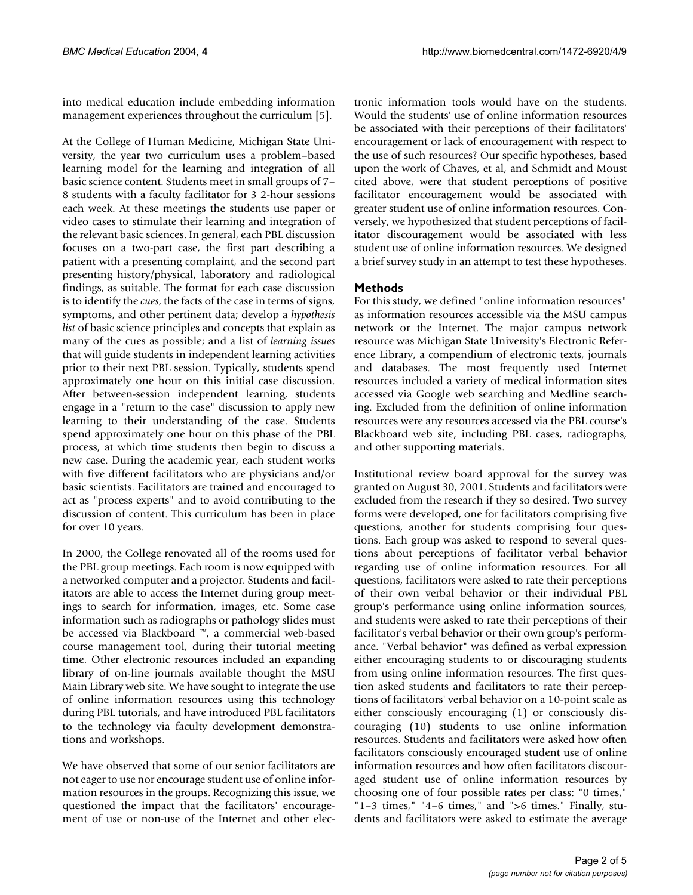into medical education include embedding information management experiences throughout the curriculum [5].

At the College of Human Medicine, Michigan State University, the year two curriculum uses a problem–based learning model for the learning and integration of all basic science content. Students meet in small groups of 7– 8 students with a faculty facilitator for 3 2-hour sessions each week. At these meetings the students use paper or video cases to stimulate their learning and integration of the relevant basic sciences. In general, each PBL discussion focuses on a two-part case, the first part describing a patient with a presenting complaint, and the second part presenting history/physical, laboratory and radiological findings, as suitable. The format for each case discussion is to identify the *cues*, the facts of the case in terms of signs, symptoms, and other pertinent data; develop a *hypothesis list* of basic science principles and concepts that explain as many of the cues as possible; and a list of *learning issues* that will guide students in independent learning activities prior to their next PBL session. Typically, students spend approximately one hour on this initial case discussion. After between-session independent learning, students engage in a "return to the case" discussion to apply new learning to their understanding of the case. Students spend approximately one hour on this phase of the PBL process, at which time students then begin to discuss a new case. During the academic year, each student works with five different facilitators who are physicians and/or basic scientists. Facilitators are trained and encouraged to act as "process experts" and to avoid contributing to the discussion of content. This curriculum has been in place for over 10 years.

In 2000, the College renovated all of the rooms used for the PBL group meetings. Each room is now equipped with a networked computer and a projector. Students and facilitators are able to access the Internet during group meetings to search for information, images, etc. Some case information such as radiographs or pathology slides must be accessed via Blackboard ™, a commercial web-based course management tool, during their tutorial meeting time. Other electronic resources included an expanding library of on-line journals available thought the MSU Main Library web site. We have sought to integrate the use of online information resources using this technology during PBL tutorials, and have introduced PBL facilitators to the technology via faculty development demonstrations and workshops.

We have observed that some of our senior facilitators are not eager to use nor encourage student use of online information resources in the groups. Recognizing this issue, we questioned the impact that the facilitators' encouragement of use or non-use of the Internet and other electronic information tools would have on the students. Would the students' use of online information resources be associated with their perceptions of their facilitators' encouragement or lack of encouragement with respect to the use of such resources? Our specific hypotheses, based upon the work of Chaves, et al, and Schmidt and Moust cited above, were that student perceptions of positive facilitator encouragement would be associated with greater student use of online information resources. Conversely, we hypothesized that student perceptions of facilitator discouragement would be associated with less student use of online information resources. We designed a brief survey study in an attempt to test these hypotheses.

## **Methods**

For this study, we defined "online information resources" as information resources accessible via the MSU campus network or the Internet. The major campus network resource was Michigan State University's Electronic Reference Library, a compendium of electronic texts, journals and databases. The most frequently used Internet resources included a variety of medical information sites accessed via Google web searching and Medline searching. Excluded from the definition of online information resources were any resources accessed via the PBL course's Blackboard web site, including PBL cases, radiographs, and other supporting materials.

Institutional review board approval for the survey was granted on August 30, 2001. Students and facilitators were excluded from the research if they so desired. Two survey forms were developed, one for facilitators comprising five questions, another for students comprising four questions. Each group was asked to respond to several questions about perceptions of facilitator verbal behavior regarding use of online information resources. For all questions, facilitators were asked to rate their perceptions of their own verbal behavior or their individual PBL group's performance using online information sources, and students were asked to rate their perceptions of their facilitator's verbal behavior or their own group's performance. "Verbal behavior" was defined as verbal expression either encouraging students to or discouraging students from using online information resources. The first question asked students and facilitators to rate their perceptions of facilitators' verbal behavior on a 10-point scale as either consciously encouraging (1) or consciously discouraging (10) students to use online information resources. Students and facilitators were asked how often facilitators consciously encouraged student use of online information resources and how often facilitators discouraged student use of online information resources by choosing one of four possible rates per class: "0 times," "1–3 times," "4–6 times," and ">6 times." Finally, students and facilitators were asked to estimate the average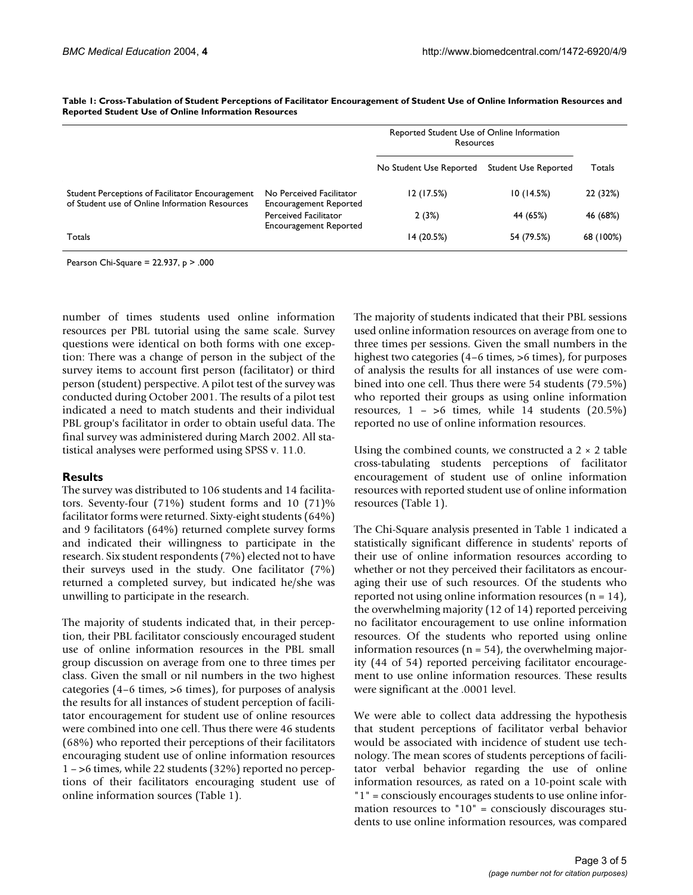|                                                                                                    |                                                           | Reported Student Use of Online Information<br>Resources |                             |           |
|----------------------------------------------------------------------------------------------------|-----------------------------------------------------------|---------------------------------------------------------|-----------------------------|-----------|
|                                                                                                    |                                                           | No Student Use Reported                                 | <b>Student Use Reported</b> | Totals    |
| Student Perceptions of Facilitator Encouragement<br>of Student use of Online Information Resources | No Perceived Facilitator<br><b>Encouragement Reported</b> | 12 (17.5%)                                              | 10(14.5%)                   | 22 (32%)  |
|                                                                                                    | Perceived Facilitator                                     | 2(3%)                                                   | 44 (65%)                    | 46 (68%)  |
| Totals                                                                                             | <b>Encouragement Reported</b>                             | 14 (20.5%)                                              | 54 (79.5%)                  | 68 (100%) |

**Table 1: Cross-Tabulation of Student Perceptions of Facilitator Encouragement of Student Use of Online Information Resources and Reported Student Use of Online Information Resources**

Pearson Chi-Square = 22.937, p > .000

number of times students used online information resources per PBL tutorial using the same scale. Survey questions were identical on both forms with one exception: There was a change of person in the subject of the survey items to account first person (facilitator) or third person (student) perspective. A pilot test of the survey was conducted during October 2001. The results of a pilot test indicated a need to match students and their individual PBL group's facilitator in order to obtain useful data. The final survey was administered during March 2002. All statistical analyses were performed using SPSS v. 11.0.

## **Results**

The survey was distributed to 106 students and 14 facilitators. Seventy-four (71%) student forms and 10 (71)% facilitator forms were returned. Sixty-eight students (64%) and 9 facilitators (64%) returned complete survey forms and indicated their willingness to participate in the research. Six student respondents (7%) elected not to have their surveys used in the study. One facilitator (7%) returned a completed survey, but indicated he/she was unwilling to participate in the research.

The majority of students indicated that, in their perception, their PBL facilitator consciously encouraged student use of online information resources in the PBL small group discussion on average from one to three times per class. Given the small or nil numbers in the two highest categories (4–6 times, >6 times), for purposes of analysis the results for all instances of student perception of facilitator encouragement for student use of online resources were combined into one cell. Thus there were 46 students (68%) who reported their perceptions of their facilitators encouraging student use of online information resources 1 – >6 times, while 22 students (32%) reported no perceptions of their facilitators encouraging student use of online information sources (Table 1).

The majority of students indicated that their PBL sessions used online information resources on average from one to three times per sessions. Given the small numbers in the highest two categories (4–6 times, >6 times), for purposes of analysis the results for all instances of use were combined into one cell. Thus there were 54 students (79.5%) who reported their groups as using online information resources,  $1 - 56$  times, while 14 students (20.5%) reported no use of online information resources.

Using the combined counts, we constructed a  $2 \times 2$  table cross-tabulating students perceptions of facilitator encouragement of student use of online information resources with reported student use of online information resources (Table 1).

The Chi-Square analysis presented in Table 1 indicated a statistically significant difference in students' reports of their use of online information resources according to whether or not they perceived their facilitators as encouraging their use of such resources. Of the students who reported not using online information resources  $(n = 14)$ , the overwhelming majority (12 of 14) reported perceiving no facilitator encouragement to use online information resources. Of the students who reported using online information resources  $(n = 54)$ , the overwhelming majority (44 of 54) reported perceiving facilitator encouragement to use online information resources. These results were significant at the .0001 level.

We were able to collect data addressing the hypothesis that student perceptions of facilitator verbal behavior would be associated with incidence of student use technology. The mean scores of students perceptions of facilitator verbal behavior regarding the use of online information resources, as rated on a 10-point scale with "1" = consciously encourages students to use online information resources to "10" = consciously discourages students to use online information resources, was compared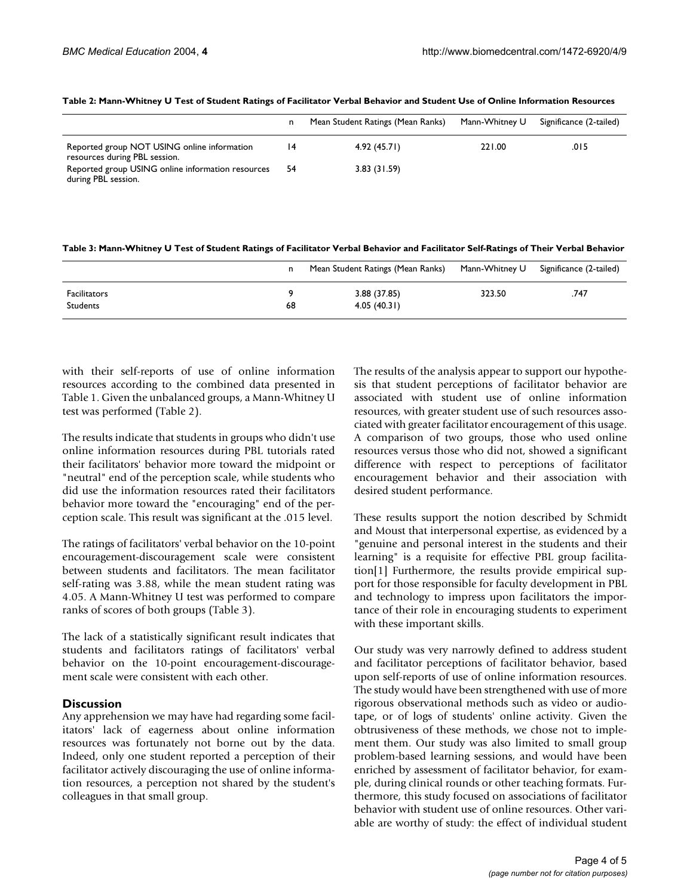|                                                                              | n               | Mean Student Ratings (Mean Ranks) | Mann-Whitney U | Significance (2-tailed) |
|------------------------------------------------------------------------------|-----------------|-----------------------------------|----------------|-------------------------|
| Reported group NOT USING online information<br>resources during PBL session. | $\overline{14}$ | 4.92(45.71)                       | 221.00         | .015                    |
| Reported group USING online information resources<br>during PBL session.     | 54              | 3.83(31.59)                       |                |                         |

#### <span id="page-3-0"></span>**Table 2: Mann-Whitney U Test of Student Ratings of Facilitator Verbal Behavior and Student Use of Online Information Resources**

<span id="page-3-1"></span>**Table 3: Mann-Whitney U Test of Student Ratings of Facilitator Verbal Behavior and Facilitator Self-Ratings of Their Verbal Behavior**

|                                 | n       | Mean Student Ratings (Mean Ranks) | Mann-Whitney U | Significance (2-tailed) |
|---------------------------------|---------|-----------------------------------|----------------|-------------------------|
| Facilitators<br><b>Students</b> | ۰<br>68 | 3.88(37.85)<br>4.05(40.31)        | 323.50         | .747                    |

with their self-reports of use of online information resources according to the combined data presented in Table 1. Given the unbalanced groups, a Mann-Whitney U test was performed (Table [2\)](#page-3-0).

The results indicate that students in groups who didn't use online information resources during PBL tutorials rated their facilitators' behavior more toward the midpoint or "neutral" end of the perception scale, while students who did use the information resources rated their facilitators behavior more toward the "encouraging" end of the perception scale. This result was significant at the .015 level.

The ratings of facilitators' verbal behavior on the 10-point encouragement-discouragement scale were consistent between students and facilitators. The mean facilitator self-rating was 3.88, while the mean student rating was 4.05. A Mann-Whitney U test was performed to compare ranks of scores of both groups (Table [3](#page-3-1)).

The lack of a statistically significant result indicates that students and facilitators ratings of facilitators' verbal behavior on the 10-point encouragement-discouragement scale were consistent with each other.

## **Discussion**

Any apprehension we may have had regarding some facilitators' lack of eagerness about online information resources was fortunately not borne out by the data. Indeed, only one student reported a perception of their facilitator actively discouraging the use of online information resources, a perception not shared by the student's colleagues in that small group.

The results of the analysis appear to support our hypothesis that student perceptions of facilitator behavior are associated with student use of online information resources, with greater student use of such resources associated with greater facilitator encouragement of this usage. A comparison of two groups, those who used online resources versus those who did not, showed a significant difference with respect to perceptions of facilitator encouragement behavior and their association with desired student performance.

These results support the notion described by Schmidt and Moust that interpersonal expertise, as evidenced by a "genuine and personal interest in the students and their learning" is a requisite for effective PBL group facilitation[1] Furthermore, the results provide empirical support for those responsible for faculty development in PBL and technology to impress upon facilitators the importance of their role in encouraging students to experiment with these important skills.

Our study was very narrowly defined to address student and facilitator perceptions of facilitator behavior, based upon self-reports of use of online information resources. The study would have been strengthened with use of more rigorous observational methods such as video or audiotape, or of logs of students' online activity. Given the obtrusiveness of these methods, we chose not to implement them. Our study was also limited to small group problem-based learning sessions, and would have been enriched by assessment of facilitator behavior, for example, during clinical rounds or other teaching formats. Furthermore, this study focused on associations of facilitator behavior with student use of online resources. Other variable are worthy of study: the effect of individual student